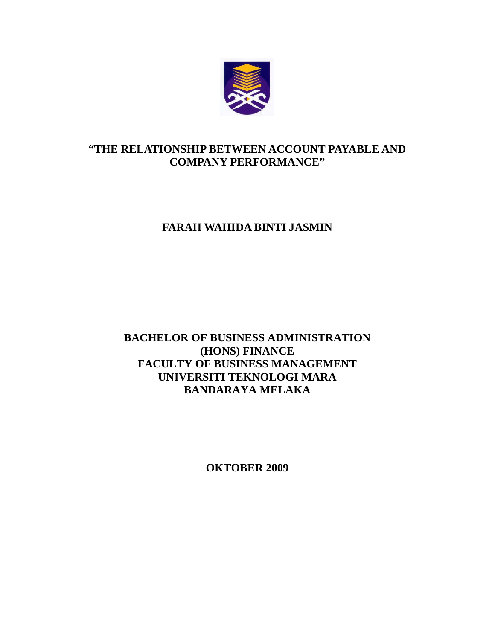

## **"THE RELATIONSHIP BETWEEN ACCOUNT PAYABLE AND COMPANY PERFORMANCE"**

# **FARAH WAHIDA BINTI JASMIN**

## **BACHELOR OF BUSINESS ADMINISTRATION (HONS) FINANCE FACULTY OF BUSINESS MANAGEMENT UNIVERSITI TEKNOLOGI MARA BANDARAYA MELAKA**

**OKTOBER 2009**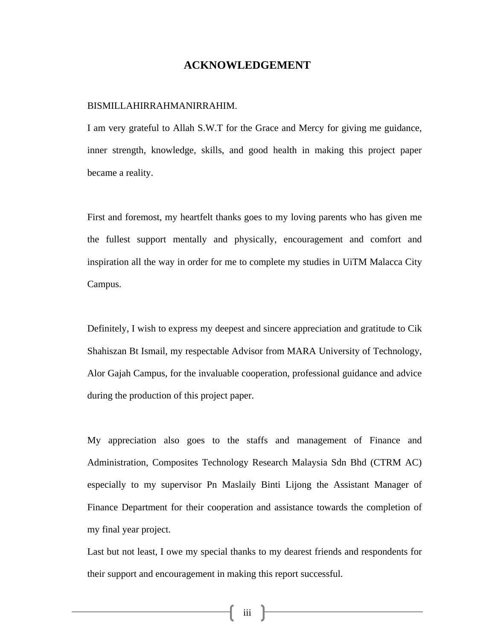#### **ACKNOWLEDGEMENT**

#### BISMILLAHIRRAHMANIRRAHIM.

I am very grateful to Allah S.W.T for the Grace and Mercy for giving me guidance, inner strength, knowledge, skills, and good health in making this project paper became a reality.

First and foremost, my heartfelt thanks goes to my loving parents who has given me the fullest support mentally and physically, encouragement and comfort and inspiration all the way in order for me to complete my studies in UiTM Malacca City Campus.

Definitely, I wish to express my deepest and sincere appreciation and gratitude to Cik Shahiszan Bt Ismail, my respectable Advisor from MARA University of Technology, Alor Gajah Campus, for the invaluable cooperation, professional guidance and advice during the production of this project paper.

My appreciation also goes to the staffs and management of Finance and Administration, Composites Technology Research Malaysia Sdn Bhd (CTRM AC) especially to my supervisor Pn Maslaily Binti Lijong the Assistant Manager of Finance Department for their cooperation and assistance towards the completion of my final year project.

Last but not least, I owe my special thanks to my dearest friends and respondents for their support and encouragement in making this report successful.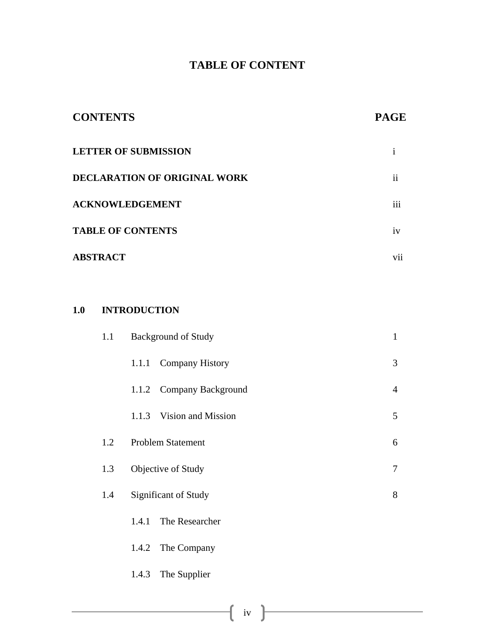# **TABLE OF CONTENT**

| <b>CONTENTS</b>                     | <b>PAGE</b>   |
|-------------------------------------|---------------|
| <b>LETTER OF SUBMISSION</b>         |               |
| <b>DECLARATION OF ORIGINAL WORK</b> | $\mathbf{ii}$ |
| <b>ACKNOWLEDGEMENT</b>              | iii           |
| <b>TABLE OF CONTENTS</b>            | iv            |
| <b>ABSTRACT</b>                     | V11           |

### **1.0 INTRODUCTION**

| 1.1 | <b>Background of Study</b>      | $\mathbf{1}$   |
|-----|---------------------------------|----------------|
|     | <b>Company History</b><br>1.1.1 | 3              |
|     | 1.1.2 Company Background        | $\overline{4}$ |
|     | Vision and Mission<br>1.1.3     | 5              |
| 1.2 | <b>Problem Statement</b>        | 6              |
| 1.3 | Objective of Study              | 7              |
| 1.4 | <b>Significant of Study</b>     | 8              |
|     | The Researcher<br>1.4.1         |                |
|     | The Company<br>1.4.2            |                |
|     | The Supplier<br>1.4.3           |                |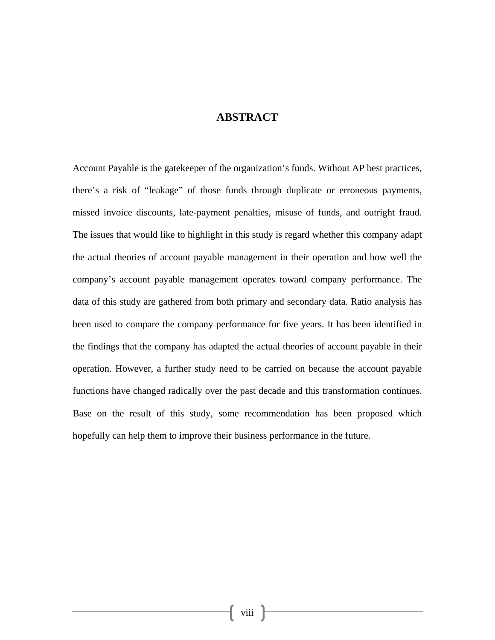### **ABSTRACT**

Account Payable is the gatekeeper of the organization's funds. Without AP best practices, there's a risk of "leakage" of those funds through duplicate or erroneous payments, missed invoice discounts, late-payment penalties, misuse of funds, and outright fraud. The issues that would like to highlight in this study is regard whether this company adapt the actual theories of account payable management in their operation and how well the company's account payable management operates toward company performance. The data of this study are gathered from both primary and secondary data. Ratio analysis has been used to compare the company performance for five years. It has been identified in the findings that the company has adapted the actual theories of account payable in their operation. However, a further study need to be carried on because the account payable functions have changed radically over the past decade and this transformation continues. Base on the result of this study, some recommendation has been proposed which hopefully can help them to improve their business performance in the future.